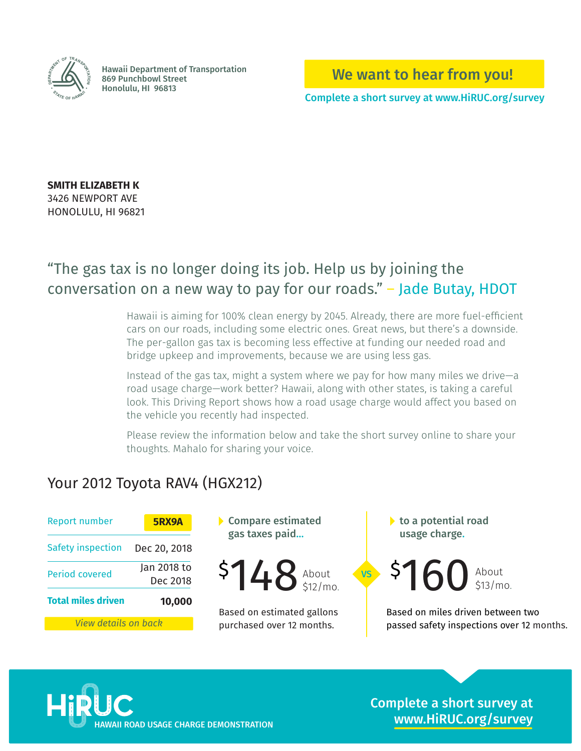

Hawaii Department of Transportation 869 Punchbowl Street **Honolulu, HI 96813** 

We want to hear from you!

Complete a short survey at www.HiRUC.org/survey

**SMITH ELIZABETH K** 3426 NEWPORT AVE HONOLULU, HI 96821

# "The gas tax is no longer doing its job. Help us by joining the conversation on a new way to pay for our roads." – Jade Butay, HDOT

Hawaii is aiming for 100% clean energy by 2045. Already, there are more fuel-efficient cars on our roads, including some electric ones. Great news, but there's a downside. The per-gallon gas tax is becoming less effective at funding our needed road and bridge upkeep and improvements, because we are using less gas.

Instead of the gas tax, might a system where we pay for how many miles we drive—a road usage charge—work better? Hawaii, along with other states, is taking a careful look. This Driving Report shows how a road usage charge would affect you based on the vehicle you recently had inspected.

Please review the information below and take the short survey online to share your thoughts. Mahalo for sharing your voice.

VS

### Your 2012 Toyota RAV4 (HGX212)

| <b>Report number</b>        | 5RX9A                   |
|-----------------------------|-------------------------|
| <b>Safety inspection</b>    | Dec 20, 2018            |
| <b>Period covered</b>       | Jan 2018 to<br>Dec 2018 |
| <b>Total miles driven</b>   | 10,000                  |
| <u>View details on back</u> |                         |

Compare estimated gas taxes paid…



Based on estimated gallons purchased over 12 months.

 $\blacktriangleright$  to a potential road usage charge.

 $$148$  About  $$5160$  About

Based on miles driven between two passed safety inspections over 12 months.



Complete a short survey at